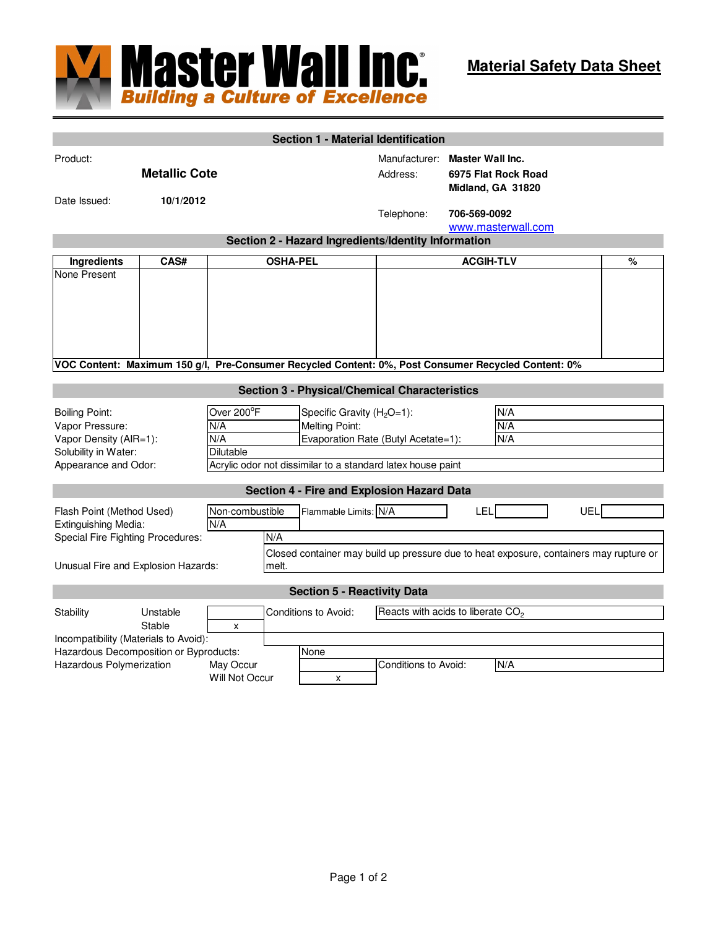

|                                                                                                                    |                    |                                       |                 | <b>Section 1 - Material Identification</b>                                                                                                                  |                                               |                                                                     |                                                                                        |     |   |  |
|--------------------------------------------------------------------------------------------------------------------|--------------------|---------------------------------------|-----------------|-------------------------------------------------------------------------------------------------------------------------------------------------------------|-----------------------------------------------|---------------------------------------------------------------------|----------------------------------------------------------------------------------------|-----|---|--|
| Product:<br><b>Metallic Cote</b>                                                                                   |                    |                                       |                 |                                                                                                                                                             | Manufacturer:<br>Address:                     | <b>Master Wall Inc.</b><br>6975 Flat Rock Road<br>Midland, GA 31820 |                                                                                        |     |   |  |
| Date Issued:                                                                                                       | 10/1/2012          |                                       |                 |                                                                                                                                                             | Telephone:                                    | 706-569-0092<br>www.masterwall.com                                  |                                                                                        |     |   |  |
| Section 2 - Hazard Ingredients/Identity Information                                                                |                    |                                       |                 |                                                                                                                                                             |                                               |                                                                     |                                                                                        |     |   |  |
| Ingredients                                                                                                        | CAS#               |                                       | <b>OSHA-PEL</b> |                                                                                                                                                             | <b>ACGIH-TLV</b>                              |                                                                     |                                                                                        |     | % |  |
| None Present                                                                                                       |                    |                                       |                 |                                                                                                                                                             |                                               |                                                                     |                                                                                        |     |   |  |
| VOC Content: Maximum 150 g/l, Pre-Consumer Recycled Content: 0%, Post Consumer Recycled Content: 0%                |                    |                                       |                 |                                                                                                                                                             |                                               |                                                                     |                                                                                        |     |   |  |
| <b>Section 3 - Physical/Chemical Characteristics</b>                                                               |                    |                                       |                 |                                                                                                                                                             |                                               |                                                                     |                                                                                        |     |   |  |
| <b>Boiling Point:</b><br>Vapor Pressure:<br>Vapor Density (AIR=1):<br>Solubility in Water:<br>Appearance and Odor: |                    | Over 200°F<br>N/A<br>N/A<br>Dilutable |                 | Specific Gravity $(H2O=1)$ :<br><b>Melting Point:</b><br>Evaporation Rate (Butyl Acetate=1):<br>Acrylic odor not dissimilar to a standard latex house paint |                                               |                                                                     | N/A<br>N/A<br>N/A                                                                      |     |   |  |
|                                                                                                                    |                    |                                       |                 | <b>Section 4 - Fire and Explosion Hazard Data</b>                                                                                                           |                                               |                                                                     |                                                                                        |     |   |  |
| Flash Point (Method Used)<br>Extinguishing Media:<br>Special Fire Fighting Procedures:                             |                    | Non-combustible<br>N/A                | N/A             | Flammable Limits: N/A                                                                                                                                       |                                               | LEL                                                                 | Closed container may build up pressure due to heat exposure, containers may rupture or | UEL |   |  |
| Unusual Fire and Explosion Hazards:                                                                                |                    |                                       | melt.           |                                                                                                                                                             |                                               |                                                                     |                                                                                        |     |   |  |
|                                                                                                                    |                    |                                       |                 | <b>Section 5 - Reactivity Data</b>                                                                                                                          |                                               |                                                                     |                                                                                        |     |   |  |
| Stability<br>Incompatibility (Materials to Avoid):                                                                 | Unstable<br>Stable | X                                     |                 | Conditions to Avoid:                                                                                                                                        | Reacts with acids to liberate CO <sub>2</sub> |                                                                     |                                                                                        |     |   |  |
| Hazardous Decomposition or Byproducts:<br>Hazardous Polymerization                                                 | May Occur          |                                       | None            | Conditions to Avoid:                                                                                                                                        |                                               | N/A                                                                 |                                                                                        |     |   |  |
|                                                                                                                    |                    | Will Not Occur                        |                 | X                                                                                                                                                           |                                               |                                                                     |                                                                                        |     |   |  |